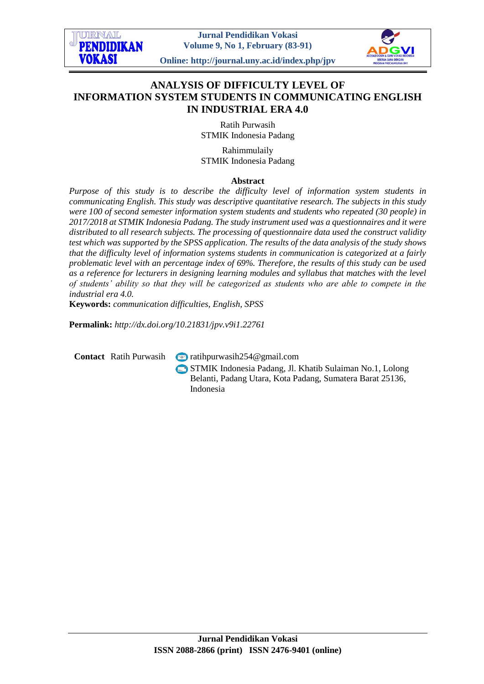**Jurnal Pendidikan Vokasi Volume 9, No 1, February (83-91)**

**Online: http://journal.uny.ac.id/index.php/jpv**



# **ANALYSIS OF DIFFICULTY LEVEL OF INFORMATION SYSTEM STUDENTS IN COMMUNICATING ENGLISH IN INDUSTRIAL ERA 4.0**

Ratih Purwasih STMIK Indonesia Padang

Rahimmulaily STMIK Indonesia Padang

### **Abstract**

*Purpose of this study is to describe the difficulty level of information system students in communicating English. This study was descriptive quantitative research. The subjects in this study were 100 of second semester information system students and students who repeated (30 people) in 2017/2018 at STMIK Indonesia Padang. The study instrument used was a questionnaires and it were distributed to all research subjects. The processing of questionnaire data used the construct validity test which was supported by the SPSS application. The results of the data analysis of the study shows that the difficulty level of information systems students in communication is categorized at a fairly problematic level with an percentage index of 69%. Therefore, the results of this study can be used as a reference for lecturers in designing learning modules and syllabus that matches with the level of students' ability so that they will be categorized as students who are able to compete in the industrial era 4.0.*

**Keywords:** *communication difficulties, English, SPSS*

**Permalink:** *http://dx.doi.org/10.21831/jpv.v9i1.22761*

**ITRNAT PENDIDIKAN** 

**VOKASI** 

**Contact** Ratih Purwasih **a** ratihpurwasih254@gmail.com

STMIK Indonesia Padang, Jl. Khatib Sulaiman No.1, Lolong Belanti, Padang Utara, Kota Padang, Sumatera Barat 25136, Indonesia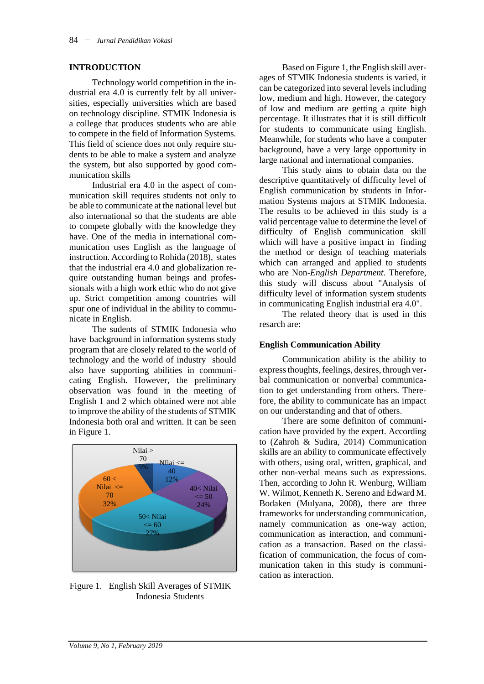### **INTRODUCTION**

Technology world competition in the industrial era 4.0 is currently felt by all universities, especially universities which are based on technology discipline. STMIK Indonesia is a college that produces students who are able to compete in the field of Information Systems. This field of science does not only require students to be able to make a system and analyze the system, but also supported by good communication skills

Industrial era 4.0 in the aspect of communication skill requires students not only to be able to communicate at the national level but also international so that the students are able to compete globally with the knowledge they have. One of the media in international communication uses English as the language of instruction. According to Rohida (2018), states that the industrial era 4.0 and globalization require outstanding human beings and professionals with a high work ethic who do not give up. Strict competition among countries will spur one of individual in the ability to communicate in English.

The sudents of STMIK Indonesia who have background in information systems study program that are closely related to the world of technology and the world of industry should also have supporting abilities in communicating English. However, the preliminary observation was found in the meeting of English 1 and 2 which obtained were not able to improve the ability of the students of STMIK Indonesia both oral and written. It can be seen in Figure 1.



Figure 1. English Skill Averages of STMIK Indonesia Students

Based on Figure 1, the English skill averages of STMIK Indonesia students is varied, it can be categorized into several levels including low, medium and high. However, the category of low and medium are getting a quite high percentage. It illustrates that it is still difficult for students to communicate using English. Meanwhile, for students who have a computer background, have a very large opportunity in large national and international companies.

This study aims to obtain data on the descriptive quantitatively of difficulty level of English communication by students in Information Systems majors at STMIK Indonesia. The results to be achieved in this study is a valid percentage value to determine the level of difficulty of English communication skill which will have a positive impact in finding the method or design of teaching materials which can arranged and applied to students who are Non-*English Department.* Therefore, this study will discuss about "Analysis of difficulty level of information system students in communicating English industrial era 4.0".

The related theory that is used in this resarch are:

### **English Communication Ability**

Communication ability is the ability to express thoughts, feelings, desires, through verbal communication or nonverbal communication to get understanding from others. Therefore, the ability to communicate has an impact on our understanding and that of others.

There are some definiton of communication have provided by the expert. According to (Zahroh & Sudira, 2014) Communication skills are an ability to communicate effectively with others, using oral, written, graphical, and other non-verbal means such as expressions. Then, according to John R. Wenburg, William W. Wilmot, Kenneth K. Sereno and Edward M. Bodaken (Mulyana, 2008), there are three frameworks for understanding communication, namely communication as one-way action, communication as interaction, and communication as a transaction. Based on the classification of communication, the focus of communication taken in this study is communication as interaction.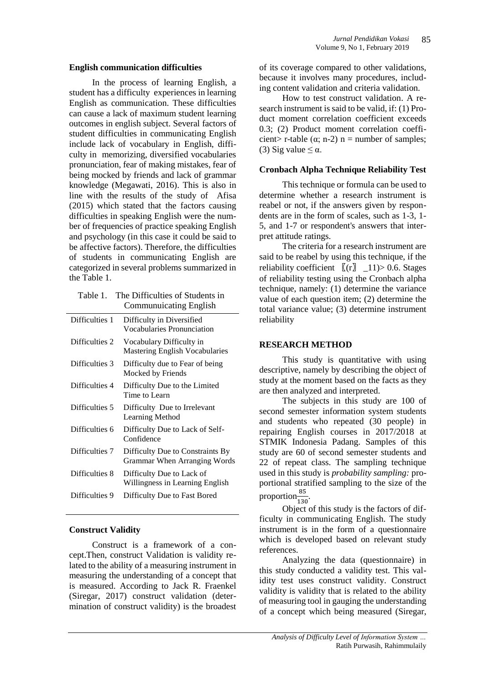#### **English communication difficulties**

In the process of learning English, a student has a difficulty experiences in learning English as communication. These difficulties can cause a lack of maximum student learning outcomes in english subject. Several factors of student difficulties in communicating English include lack of vocabulary in English, difficulty in memorizing, diversified vocabularies pronunciation, fear of making mistakes, fear of being mocked by friends and lack of grammar knowledge (Megawati, 2016). This is also in line with the results of the study of Afisa (2015) which stated that the factors causing difficulties in speaking English were the number of frequencies of practice speaking English and psychology (in this case it could be said to be affective factors). Therefore, the difficulties of students in communicating English are categorized in several problems summarized in the Table 1.

Table 1. The Difficulties of Students in  $\frac{1}{2}$ coting English

|                | Communicating English                                             |
|----------------|-------------------------------------------------------------------|
| Difficulties 1 | Difficulty in Diversified<br>Vocabularies Pronunciation           |
| Difficulties 2 | Vocabulary Difficulty in<br><b>Mastering English Vocabularies</b> |
| Difficulties 3 | Difficulty due to Fear of being<br>Mocked by Friends              |
| Difficulties 4 | Difficulty Due to the Limited<br>Time to Learn                    |
| Difficulties 5 | Difficulty Due to Irrelevant<br>Learning Method                   |
| Difficulties 6 | Difficulty Due to Lack of Self-<br>Confidence                     |
| Difficulties 7 | Difficulty Due to Constraints By<br>Grammar When Arranging Words  |
| Difficulties 8 | Difficulty Due to Lack of<br>Willingness in Learning English      |
| Difficulties 9 | Difficulty Due to Fast Bored                                      |
|                |                                                                   |

### **Construct Validity**

Construct is a framework of a concept.Then, construct Validation is validity related to the ability of a measuring instrument in measuring the understanding of a concept that is measured. According to Jack R. Fraenkel (Siregar, 2017) construct validation (determination of construct validity) is the broadest

of its coverage compared to other validations, because it involves many procedures, including content validation and criteria validation.

How to test construct validation. A research instrument is said to be valid, if: (1) Product moment correlation coefficient exceeds 0.3; (2) Product moment correlation coefficient> r-table ( $\alpha$ ; n-2) n = number of samples; (3) Sig value  $\leq \alpha$ .

### **Cronbach Alpha Technique Reliability Test**

This technique or formula can be used to determine whether a research instrument is reabel or not, if the answers given by respondents are in the form of scales, such as 1-3, 1- 5, and 1-7 or respondent's answers that interpret attitude ratings.

The criteria for a research instrument are said to be reabel by using this technique, if the reliability coefficient  $[(r] \quad 11) > 0.6$ . Stages of reliability testing using the Cronbach alpha technique, namely: (1) determine the variance value of each question item; (2) determine the total variance value; (3) determine instrument reliability

### **RESEARCH METHOD**

This study is quantitative with using descriptive, namely by describing the object of study at the moment based on the facts as they are then analyzed and interpreted.

The subjects in this study are 100 of second semester information system students and students who repeated (30 people) in repairing English courses in 2017/2018 at STMIK Indonesia Padang. Samples of this study are 60 of second semester students and 22 of repeat class. The sampling technique used in this study is *probability sampling:* proportional stratified sampling to the size of the proportion $\frac{85}{130}$ .

Object of this study is the factors of difficulty in communicating English. The study instrument is in the form of a questionnaire which is developed based on relevant study references.

Analyzing the data (questionnaire) in this study conducted a validity test. This validity test uses construct validity. Construct validity is validity that is related to the ability of measuring tool in gauging the understanding of a concept which being measured (Siregar,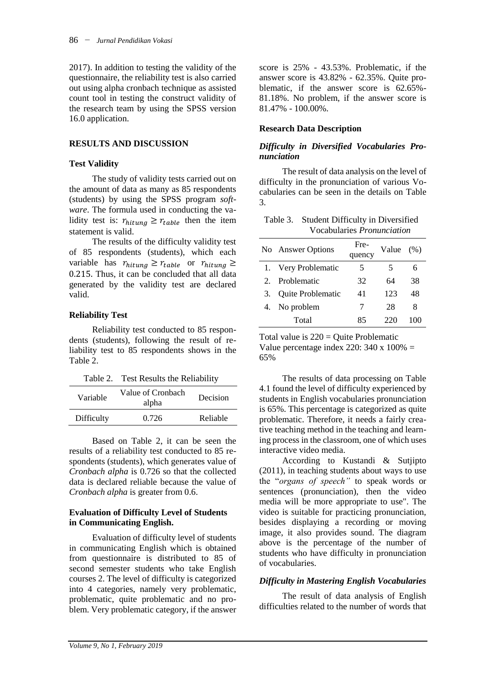2017). In addition to testing the validity of the questionnaire, the reliability test is also carried out using alpha cronbach technique as assisted count tool in testing the construct validity of the research team by using the SPSS version 16.0 application.

# **RESULTS AND DISCUSSION**

### **Test Validity**

The study of validity tests carried out on the amount of data as many as 85 respondents (students) by using the SPSS program *software*. The formula used in conducting the validity test is:  $r_{hitung} \ge r_{table}$  then the item statement is valid.

The results of the difficulty validity test of 85 respondents (students), which each variable has  $r_{hitung} \ge r_{table}$  or  $r_{hitung} \ge$ 0.215. Thus, it can be concluded that all data generated by the validity test are declared valid.

### **Reliability Test**

Reliability test conducted to 85 respondents (students), following the result of reliability test to 85 respondents shows in the Table 2.

Table 2. Test Results the Reliability

| Decision |
|----------|
| Reliable |
|          |

Based on Table 2, it can be seen the results of a reliability test conducted to 85 respondents (students), which generates value of *Cronbach alpha* is 0.726 so that the collected data is declared reliable because the value of *Cronbach alpha* is greater from 0.6.

### **Evaluation of Difficulty Level of Students in Communicating English.**

Evaluation of difficulty level of students in communicating English which is obtained from questionnaire is distributed to 85 of second semester students who take English courses 2. The level of difficulty is categorized into 4 categories, namely very problematic, problematic, quite problematic and no problem. Very problematic category, if the answer score is 25% - 43.53%. Problematic, if the answer score is 43.82% - 62.35%. Quite problematic, if the answer score is 62.65%- 81.18%. No problem, if the answer score is 81.47% - 100.00%.

# **Research Data Description**

### *Difficulty in Diversified Vocabularies Pronunciation*

The result of data analysis on the level of difficulty in the pronunciation of various Vocabularies can be seen in the details on Table 3.

Table 3. Student Difficulty in Diversified Vocabularies *Pronunciation*

|             | No Answer Options        | Fre-<br>quency | Value | (% ) |
|-------------|--------------------------|----------------|-------|------|
|             | Very Problematic         | 5              | 5     |      |
| $2^{\circ}$ | Problematic              | 32             | 64    | 38   |
| 3.          | <b>Quite Problematic</b> | 41             | 123   | 48   |
| 4.          | No problem               | 7              | 28    | 8    |
|             | Total                    | 85             | 220   | 100  |

Total value is  $220 =$  Quite Problematic Value percentage index 220:  $340 \times 100\% =$ 65%

The results of data processing on Table 4.1 found the level of difficulty experienced by students in English vocabularies pronunciation is 65%. This percentage is categorized as quite problematic. Therefore, it needs a fairly creative teaching method in the teaching and learning process in the classroom, one of which uses interactive video media.

According to Kustandi & Sutjipto (2011), in teaching students about ways to use the "*organs of speech"* to speak words or sentences (pronunciation), then the video media will be more appropriate to use". The video is suitable for practicing pronunciation, besides displaying a recording or moving image, it also provides sound. The diagram above is the percentage of the number of students who have difficulty in pronunciation of vocabularies.

# *Difficulty in Mastering English Vocabularies*

The result of data analysis of English difficulties related to the number of words that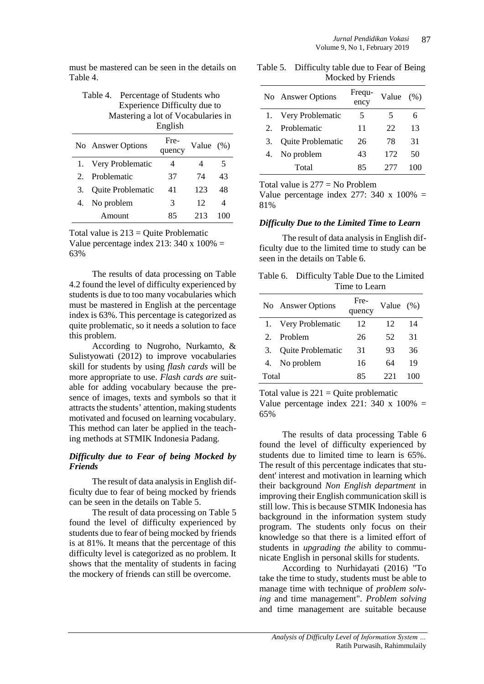must be mastered can be seen in the details on Table 4.

| Table 4. Percentage of Students who |
|-------------------------------------|
| Experience Difficulty due to        |
| Mastering a lot of Vocabularies in  |
| English                             |

|             |                          | ---------      |           |     |
|-------------|--------------------------|----------------|-----------|-----|
|             | No Answer Options        | Fre-<br>quency | Value (%) |     |
|             | Very Problematic         | 4              |           | 5   |
| $2^{\circ}$ | Problematic              | 37             | 74        | 43  |
| 3.          | <b>Quite Problematic</b> | 41             | 123       | 48  |
| 4.          | No problem               | 3              | 12        | 4   |
|             | Amount                   | 85             | 213       | 100 |

Total value is  $213 =$  Quite Problematic Value percentage index 213:  $340 \times 100\% =$ 63%

The results of data processing on Table 4.2 found the level of difficulty experienced by students is due to too many vocabularies which must be mastered in English at the percentage index is 63%. This percentage is categorized as quite problematic, so it needs a solution to face this problem.

According to Nugroho, Nurkamto, & Sulistyowati (2012) to improve vocabularies skill for students by using *flash cards* will be more appropriate to use. *Flash cards are* suitable for adding vocabulary because the presence of images, texts and symbols so that it attracts the students' attention, making students motivated and focused on learning vocabulary. This method can later be applied in the teaching methods at STMIK Indonesia Padang.

# *Difficulty due to Fear of being Mocked by Friends*

The result of data analysis in English difficulty due to fear of being mocked by friends can be seen in the details on Table 5.

The result of data processing on Table 5 found the level of difficulty experienced by students due to fear of being mocked by friends is at 81%. It means that the percentage of this difficulty level is categorized as no problem. It shows that the mentality of students in facing the mockery of friends can still be overcome.

Table 5. Difficulty table due to Fear of Being Mocked by Friends

|             | No Answer Options | Frequ-<br>ency | Value | (% ) |
|-------------|-------------------|----------------|-------|------|
|             | Very Problematic  | 5              | 5     | 6    |
| $2^{\circ}$ | Problematic       | 11             | 22    | 13   |
| 3.          | Quite Problematic | 26             | 78    | 31   |
|             | No problem        | 43             | 172   | 50   |
|             | Total             | 85             | 277   | 100  |

Total value is  $277 = No$  Problem

Value percentage index 277: 340 x  $100\%$  = 81%

# *Difficulty Due to the Limited Time to Learn*

The result of data analysis in English difficulty due to the limited time to study can be seen in the details on Table 6.

| Table 6. Difficulty Table Due to the Limited |
|----------------------------------------------|
| Time to Learn                                |

|       | No Answer Options        | Fre-<br>quency | Value $(\%)$ |    |
|-------|--------------------------|----------------|--------------|----|
|       | 1. Very Problematic      | 12             | 12           | 14 |
|       | Problem                  | 26             | 52           | 31 |
| 3.    | <b>Quite Problematic</b> | 31             | 93           | 36 |
| 4.    | No problem               | 16             | 64           | 19 |
| Total |                          | 85             | 221          |    |

Total value is  $221 =$ Quite problematic Value percentage index 221: 340 x 100% = 65%

The results of data processing Table 6 found the level of difficulty experienced by students due to limited time to learn is 65%. The result of this percentage indicates that student' interest and motivation in learning which their background *Non English department* in improving their English communication skill is still low. This is because STMIK Indonesia has background in the information system study program. The students only focus on their knowledge so that there is a limited effort of students in *upgrading the* ability to communicate English in personal skills for students.

According to Nurhidayati (2016) "To take the time to study, students must be able to manage time with technique of *problem solving* and time management". *Problem solving* and time management are suitable because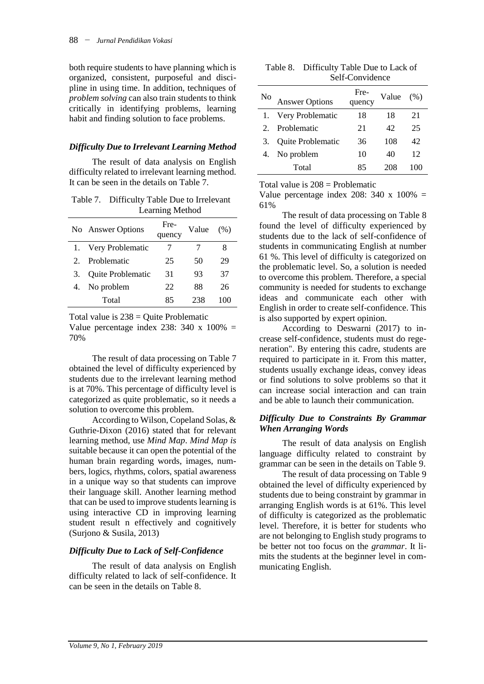both require students to have planning which is organized, consistent, purposeful and discipline in using time. In addition, techniques of *problem solving* can also train students to think critically in identifying problems, learning habit and finding solution to face problems.

### *Difficulty Due to Irrelevant Learning Method*

The result of data analysis on English difficulty related to irrelevant learning method. It can be seen in the details on Table 7.

| Table 7. Difficulty Table Due to Irrelevant |
|---------------------------------------------|
| Learning Method                             |

|    | No Answer Options | Fre-<br>quency | Value | (% ) |
|----|-------------------|----------------|-------|------|
|    | Very Problematic  | 7              |       | 8    |
|    | Problematic       | 25             | 50    | 29   |
| 3. | Quite Problematic | 31             | 93    | 37   |
|    | No problem        | 22             | 88    | 26   |
|    | Total             | 85             | 238   | 100  |

Total value is  $238 =$  Quite Problematic Value percentage index 238: 340 x  $100\%$  = 70%

The result of data processing on Table 7 obtained the level of difficulty experienced by students due to the irrelevant learning method is at 70%. This percentage of difficulty level is categorized as quite problematic, so it needs a solution to overcome this problem.

According to Wilson, Copeland Solas, & Guthrie-Dixon (2016) stated that for relevant learning method, use *Mind Map*. *Mind Map is* suitable because it can open the potential of the human brain regarding words, images, numbers, logics, rhythms, colors, spatial awareness in a unique way so that students can improve their language skill. Another learning method that can be used to improve students learning is using interactive CD in improving learning student result n effectively and cognitively (Surjono & Susila, 2013)

# *Difficulty Due to Lack of Self-Confidence*

The result of data analysis on English difficulty related to lack of self-confidence. It can be seen in the details on Table 8.

| Table 8. Difficulty Table Due to Lack of |
|------------------------------------------|
| Self-Convidence                          |

| No          | <b>Answer Options</b> | Fre-<br>quency | Value | (% ) |
|-------------|-----------------------|----------------|-------|------|
|             | Very Problematic      | 18             | 18    | 21   |
| $2^{\circ}$ | Problematic           | 21             | 42    | 25   |
| 3.          | Quite Problematic     | 36             | 108   | 42   |
|             | No problem            | 10             | 40    | 12   |
|             | Total                 | 85             | 208   | 100  |

Total value is  $208 =$  Problematic

Value percentage index 208:  $340 \times 100\% =$ 61%

The result of data processing on Table 8 found the level of difficulty experienced by students due to the lack of self-confidence of students in communicating English at number 61 %. This level of difficulty is categorized on the problematic level. So, a solution is needed to overcome this problem. Therefore, a special community is needed for students to exchange ideas and communicate each other with English in order to create self-confidence. This is also supported by expert opinion.

According to Deswarni (2017) to increase self-confidence, students must do regeneration". By entering this cadre, students are required to participate in it. From this matter, students usually exchange ideas, convey ideas or find solutions to solve problems so that it can increase social interaction and can train and be able to launch their communication.

### *Difficulty Due to Constraints By Grammar When Arranging Words*

The result of data analysis on English language difficulty related to constraint by grammar can be seen in the details on Table 9.

The result of data processing on Table 9 obtained the level of difficulty experienced by students due to being constraint by grammar in arranging English words is at 61%. This level of difficulty is categorized as the problematic level. Therefore, it is better for students who are not belonging to English study programs to be better not too focus on the *grammar*. It limits the students at the beginner level in communicating English.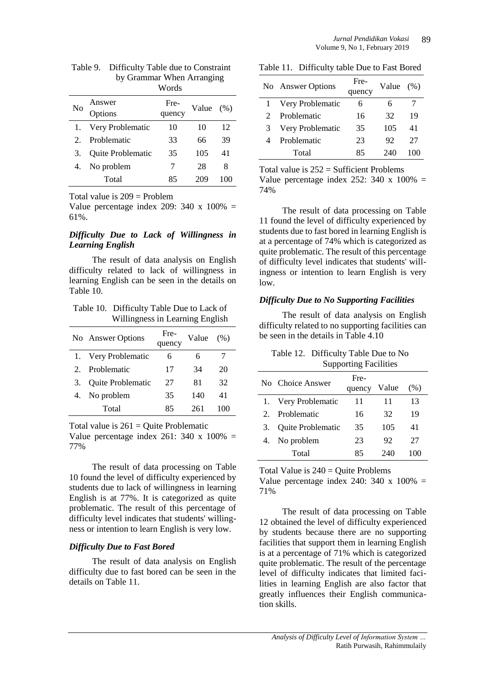| Table 9. Difficulty Table due to Constraint |
|---------------------------------------------|
| by Grammar When Arranging                   |
| Words                                       |

| No | Answer<br>Options        | Fre-<br>quency | Value | (% ) |
|----|--------------------------|----------------|-------|------|
|    | Very Problematic         | 10             | 10    | 12   |
| 2. | Problematic              | 33             | 66    | 39   |
| 3. | <b>Quite Problematic</b> | 35             | 105   | 41   |
| 4. | No problem               | 7              | 28    | 8    |
|    | Total                    | 85             | 209   |      |

Total value is  $209 =$  Problem

Value percentage index 209:  $340 \times 100\% =$ 61%.

### *Difficulty Due to Lack of Willingness in Learning English*

The result of data analysis on English difficulty related to lack of willingness in learning English can be seen in the details on Table 10.

Table 10. Difficulty Table Due to Lack of Willingness in Learning English

|             | No Answer Options | Fre-<br>quency | Value | (% ) |
|-------------|-------------------|----------------|-------|------|
| 1.          | Very Problematic  | 6              | 6     |      |
| $2^{\circ}$ | Problematic       | 17             | 34    | 20   |
| 3.          | Quite Problematic | 27             | 81    | 32   |
|             | No problem        | 35             | 140   | 41   |
|             | Total             | 85             | 261   | 100  |

Total value is  $261 =$  Quite Problematic

Value percentage index 261: 340 x 100% = 77%

The result of data processing on Table 10 found the level of difficulty experienced by students due to lack of willingness in learning English is at 77%. It is categorized as quite problematic. The result of this percentage of difficulty level indicates that students' willingness or intention to learn English is very low.

# *Difficulty Due to Fast Bored*

The result of data analysis on English difficulty due to fast bored can be seen in the details on Table 11.

Table 11. Difficulty table Due to Fast Bored

|   | No Answer Options | Fre-<br>quency | Value | (% ) |
|---|-------------------|----------------|-------|------|
|   | Very Problematic  | 6              | 6     |      |
|   | Problematic       | 16             | 32    | 19   |
| 3 | Very Problematic  | 35             | 105   | 41   |
|   | Problematic       | 23             | 92    | 27   |
|   | Total             | 85             | 240   | 100  |

Total value is  $252 = Sufficient Problems$ 

Value percentage index 252: 340 x  $100\%$  = 74%

The result of data processing on Table 11 found the level of difficulty experienced by students due to fast bored in learning English is at a percentage of 74% which is categorized as quite problematic. The result of this percentage of difficulty level indicates that students' willingness or intention to learn English is very low.

# *Difficulty Due to No Supporting Facilities*

The result of data analysis on English difficulty related to no supporting facilities can be seen in the details in Table 4.10

Table 12. Difficulty Table Due to No Supporting Facilities

|             | No Choice Answer         | Fre-<br>quency | Value | (% ) |
|-------------|--------------------------|----------------|-------|------|
|             | 1. Very Problematic      | 11             | 11    | 13   |
| $2^{\circ}$ | Problematic              | 16             | 32    | 19   |
| 3.          | <b>Quite Problematic</b> | 35             | 105   | 41   |
| 4.          | No problem               | 23             | 92    | 27   |
|             | Total                    | 85             | 240   | 100  |

Total Value is  $240 =$  Quite Problems Value percentage index 240: 340 x  $100\%$  =

71%

The result of data processing on Table 12 obtained the level of difficulty experienced by students because there are no supporting facilities that support them in learning English is at a percentage of 71% which is categorized quite problematic. The result of the percentage level of difficulty indicates that limited facilities in learning English are also factor that greatly influences their English communication skills.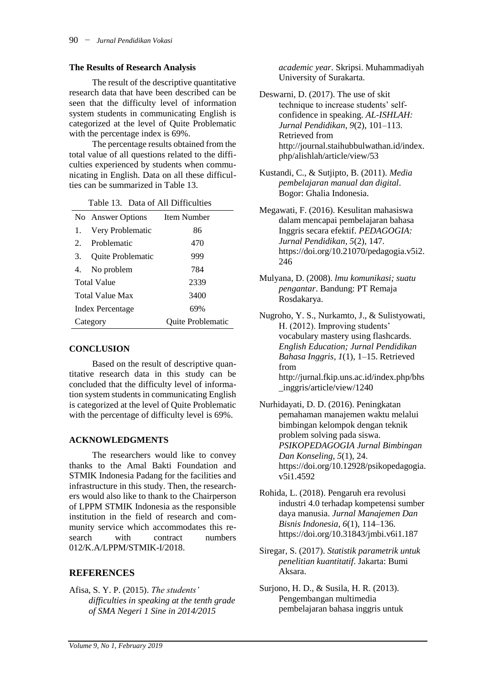#### **The Results of Research Analysis**

The result of the descriptive quantitative research data that have been described can be seen that the difficulty level of information system students in communicating English is categorized at the level of Quite Problematic with the percentage index is 69%.

The percentage results obtained from the total value of all questions related to the difficulties experienced by students when communicating in English. Data on all these difficulties can be summarized in Table 13.

| <b>Dani 91 The Difficultion</b> |                          |                   |
|---------------------------------|--------------------------|-------------------|
|                                 | No Answer Options        | Item Number       |
| 1.                              | Very Problematic         | 86                |
| $2^{\circ}$                     | Problematic              | 470               |
| 3.                              | <b>Quite Problematic</b> | 999               |
|                                 | 4. No problem            | 784               |
| <b>Total Value</b>              |                          | 2339              |
| <b>Total Value Max</b>          |                          | 3400              |
| Index Percentage                |                          | 69%               |
| Category                        |                          | Quite Problematic |

### Table 13. Data of All Difficulties

### **CONCLUSION**

Based on the result of descriptive quantitative research data in this study can be concluded that the difficulty level of information system students in communicating English is categorized at the level of Quite Problematic with the percentage of difficulty level is 69%.

### **ACKNOWLEDGMENTS**

The researchers would like to convey thanks to the Amal Bakti Foundation and STMIK Indonesia Padang for the facilities and infrastructure in this study. Then, the researchers would also like to thank to the Chairperson of LPPM STMIK Indonesia as the responsible institution in the field of research and community service which accommodates this research with contract numbers 012/K.A/LPPM/STMIK-I/2018.

# **REFERENCES**

Afisa, S. Y. P. (2015). *The students' difficulties in speaking at the tenth grade of SMA Negeri 1 Sine in 2014/2015* 

*academic year*. Skripsi. Muhammadiyah University of Surakarta.

Deswarni, D. (2017). The use of skit technique to increase students' selfconfidence in speaking. *AL-ISHLAH: Jurnal Pendidikan*, *9*(2), 101–113. Retrieved from http://journal.staihubbulwathan.id/index. php/alishlah/article/view/53

- Kustandi, C., & Sutjipto, B. (2011). *Media pembelajaran manual dan digital*. Bogor: Ghalia Indonesia.
- Megawati, F. (2016). Kesulitan mahasiswa dalam mencapai pembelajaran bahasa Inggris secara efektif. *PEDAGOGIA: Jurnal Pendidikan*, *5*(2), 147. https://doi.org/10.21070/pedagogia.v5i2. 246
- Mulyana, D. (2008). *lmu komunikasi; suatu pengantar*. Bandung: PT Remaja Rosdakarya.

Nugroho, Y. S., Nurkamto, J., & Sulistyowati, H. (2012). Improving students' vocabulary mastery using flashcards. *English Education; Jurnal Pendidikan Bahasa Inggris*, *1*(1), 1–15. Retrieved from http://jurnal.fkip.uns.ac.id/index.php/bhs \_inggris/article/view/1240

- Nurhidayati, D. D. (2016). Peningkatan pemahaman manajemen waktu melalui bimbingan kelompok dengan teknik problem solving pada siswa. *PSIKOPEDAGOGIA Jurnal Bimbingan Dan Konseling*, *5*(1), 24. https://doi.org/10.12928/psikopedagogia. v5i1.4592
- Rohida, L. (2018). Pengaruh era revolusi industri 4.0 terhadap kompetensi sumber daya manusia. *Jurnal Manajemen Dan Bisnis Indonesia*, *6*(1), 114–136. https://doi.org/10.31843/jmbi.v6i1.187
- Siregar, S. (2017). *Statistik parametrik untuk penelitian kuantitatif*. Jakarta: Bumi Aksara.
- Surjono, H. D., & Susila, H. R. (2013). Pengembangan multimedia pembelajaran bahasa inggris untuk